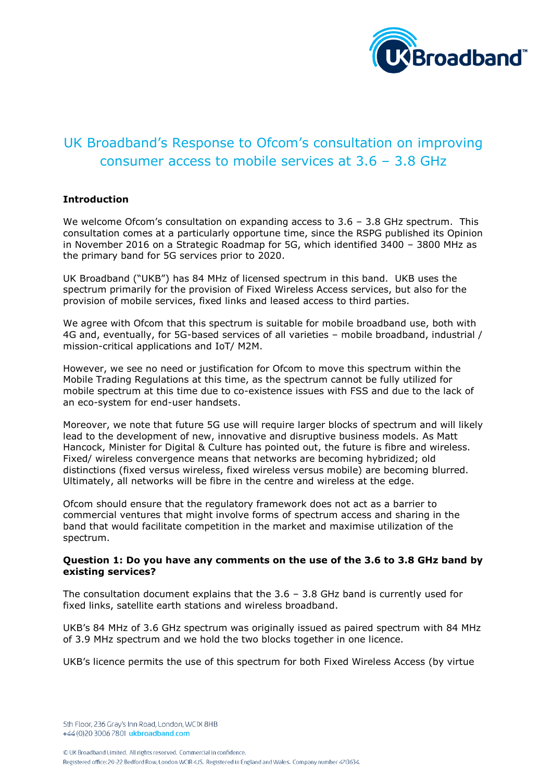

# UK Broadband's Response to Ofcom's consultation on improving consumer access to mobile services at 3.6 – 3.8 GHz

# **Introduction**

We welcome Ofcom's consultation on expanding access to 3.6 - 3.8 GHz spectrum. This consultation comes at a particularly opportune time, since the RSPG published its Opinion in November 2016 on a Strategic Roadmap for 5G, which identified 3400 – 3800 MHz as the primary band for 5G services prior to 2020.

UK Broadband ("UKB") has 84 MHz of licensed spectrum in this band. UKB uses the spectrum primarily for the provision of Fixed Wireless Access services, but also for the provision of mobile services, fixed links and leased access to third parties.

We agree with Ofcom that this spectrum is suitable for mobile broadband use, both with 4G and, eventually, for 5G-based services of all varieties – mobile broadband, industrial / mission-critical applications and IoT/ M2M.

However, we see no need or justification for Ofcom to move this spectrum within the Mobile Trading Regulations at this time, as the spectrum cannot be fully utilized for mobile spectrum at this time due to co-existence issues with FSS and due to the lack of an eco-system for end-user handsets.

Moreover, we note that future 5G use will require larger blocks of spectrum and will likely lead to the development of new, innovative and disruptive business models. As Matt Hancock, Minister for Digital & Culture has pointed out, the future is fibre and wireless. Fixed/ wireless convergence means that networks are becoming hybridized; old distinctions (fixed versus wireless, fixed wireless versus mobile) are becoming blurred. Ultimately, all networks will be fibre in the centre and wireless at the edge.

Ofcom should ensure that the regulatory framework does not act as a barrier to commercial ventures that might involve forms of spectrum access and sharing in the band that would facilitate competition in the market and maximise utilization of the spectrum.

## **Question 1: Do you have any comments on the use of the 3.6 to 3.8 GHz band by existing services?**

The consultation document explains that the  $3.6 - 3.8$  GHz band is currently used for fixed links, satellite earth stations and wireless broadband.

UKB's 84 MHz of 3.6 GHz spectrum was originally issued as paired spectrum with 84 MHz of 3.9 MHz spectrum and we hold the two blocks together in one licence.

UKB's licence permits the use of this spectrum for both Fixed Wireless Access (by virtue

5th Floor, 236 Gray's Inn Road, London, WCIX 8HB +44 (0)20 3006 7801 ukbroadband.com

© UK Broadband Limited. All rights reserved. Commercial in confidence. Registered office: 20-22 Bedford Row, London WCIR 4JS. Registered in England and Wales. Company number 4713634.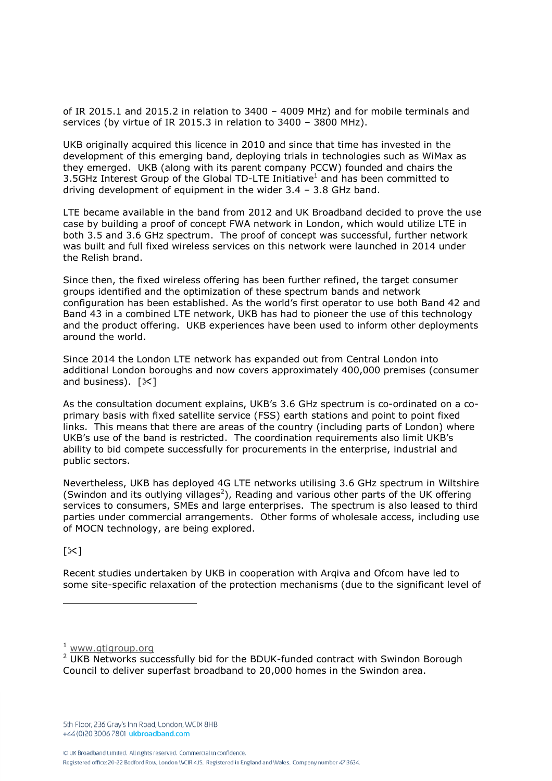of IR 2015.1 and 2015.2 in relation to 3400 – 4009 MHz) and for mobile terminals and services (by virtue of IR 2015.3 in relation to 3400 – 3800 MHz).

UKB originally acquired this licence in 2010 and since that time has invested in the development of this emerging band, deploying trials in technologies such as WiMax as they emerged. UKB (along with its parent company PCCW) founded and chairs the 3.5GHz Interest Group of the Global TD-LTE Initiative<sup>1</sup> and has been committed to driving development of equipment in the wider 3.4 – 3.8 GHz band.

LTE became available in the band from 2012 and UK Broadband decided to prove the use case by building a proof of concept FWA network in London, which would utilize LTE in both 3.5 and 3.6 GHz spectrum. The proof of concept was successful, further network was built and full fixed wireless services on this network were launched in 2014 under the Relish brand.

Since then, the fixed wireless offering has been further refined, the target consumer groups identified and the optimization of these spectrum bands and network configuration has been established. As the world's first operator to use both Band 42 and Band 43 in a combined LTE network, UKB has had to pioneer the use of this technology and the product offering. UKB experiences have been used to inform other deployments around the world.

Since 2014 the London LTE network has expanded out from Central London into additional London boroughs and now covers approximately 400,000 premises (consumer and business).  $[\times]$ 

As the consultation document explains, UKB's 3.6 GHz spectrum is co-ordinated on a coprimary basis with fixed satellite service (FSS) earth stations and point to point fixed links. This means that there are areas of the country (including parts of London) where UKB's use of the band is restricted. The coordination requirements also limit UKB's ability to bid compete successfully for procurements in the enterprise, industrial and public sectors.

Nevertheless, UKB has deployed 4G LTE networks utilising 3.6 GHz spectrum in Wiltshire (Swindon and its outlying villages<sup>2</sup>), Reading and various other parts of the UK offering services to consumers, SMEs and large enterprises. The spectrum is also leased to third parties under commercial arrangements. Other forms of wholesale access, including use of MOCN technology, are being explored.

 $\sim$ ]

Recent studies undertaken by UKB in cooperation with Arqiva and Ofcom have led to some site-specific relaxation of the protection mechanisms (due to the significant level of

© UK Broadband Limited. All rights reserved. Commercial in confidence.

<sup>&</sup>lt;sup>1</sup> ww<u>w.gtigroup.org</u>

<sup>&</sup>lt;sup>2</sup> UKB Networks successfully bid for the BDUK-funded contract with Swindon Borough Council to deliver superfast broadband to 20,000 homes in the Swindon area.

<sup>5</sup>th Floor, 236 Gray's Inn Road, London, WCIX 8HB +44 (0)20 3006 7801 ukbroadband.com

Registered office: 20-22 Bedford Row, London WCIR 4JS. Registered in England and Wales. Company number 4713634.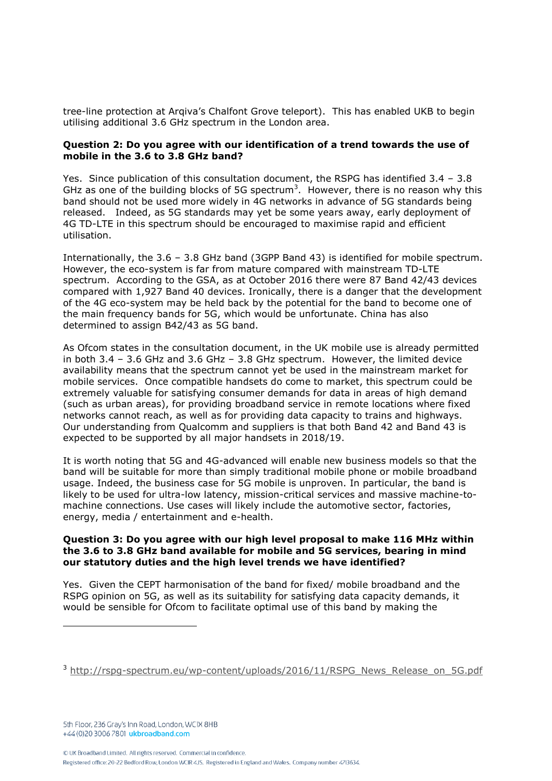tree-line protection at Arqiva's Chalfont Grove teleport). This has enabled UKB to begin utilising additional 3.6 GHz spectrum in the London area.

## **Question 2: Do you agree with our identification of a trend towards the use of mobile in the 3.6 to 3.8 GHz band?**

Yes. Since publication of this consultation document, the RSPG has identified  $3.4 - 3.8$ GHz as one of the building blocks of 5G spectrum<sup>3</sup>. However, there is no reason why this band should not be used more widely in 4G networks in advance of 5G standards being released. Indeed, as 5G standards may yet be some years away, early deployment of 4G TD-LTE in this spectrum should be encouraged to maximise rapid and efficient utilisation.

Internationally, the 3.6 – 3.8 GHz band (3GPP Band 43) is identified for mobile spectrum. However, the eco-system is far from mature compared with mainstream TD-LTE spectrum. According to the GSA, as at October 2016 there were 87 Band 42/43 devices compared with 1,927 Band 40 devices. Ironically, there is a danger that the development of the 4G eco-system may be held back by the potential for the band to become one of the main frequency bands for 5G, which would be unfortunate. China has also determined to assign B42/43 as 5G band.

As Ofcom states in the consultation document, in the UK mobile use is already permitted in both 3.4 – 3.6 GHz and 3.6 GHz – 3.8 GHz spectrum. However, the limited device availability means that the spectrum cannot yet be used in the mainstream market for mobile services. Once compatible handsets do come to market, this spectrum could be extremely valuable for satisfying consumer demands for data in areas of high demand (such as urban areas), for providing broadband service in remote locations where fixed networks cannot reach, as well as for providing data capacity to trains and highways. Our understanding from Qualcomm and suppliers is that both Band 42 and Band 43 is expected to be supported by all major handsets in 2018/19.

It is worth noting that 5G and 4G-advanced will enable new business models so that the band will be suitable for more than simply traditional mobile phone or mobile broadband usage. Indeed, the business case for 5G mobile is unproven. In particular, the band is likely to be used for ultra-low latency, mission-critical services and massive machine-tomachine connections. Use cases will likely include the automotive sector, factories, energy, media / entertainment and e-health.

## **Question 3: Do you agree with our high level proposal to make 116 MHz within the 3.6 to 3.8 GHz band available for mobile and 5G services, bearing in mind our statutory duties and the high level trends we have identified?**

Yes. Given the CEPT harmonisation of the band for fixed/ mobile broadband and the RSPG opinion on 5G, as well as its suitability for satisfying data capacity demands, it would be sensible for Ofcom to facilitate optimal use of this band by making the

-

<sup>&</sup>lt;sup>3</sup> [http://rspg-spectrum.eu/wp-content/uploads/2016/11/RSPG\\_News\\_Release\\_on\\_5G.pdf](http://rspg-spectrum.eu/wp-content/uploads/2016/11/RSPG_News_Release_on_5G.pdf)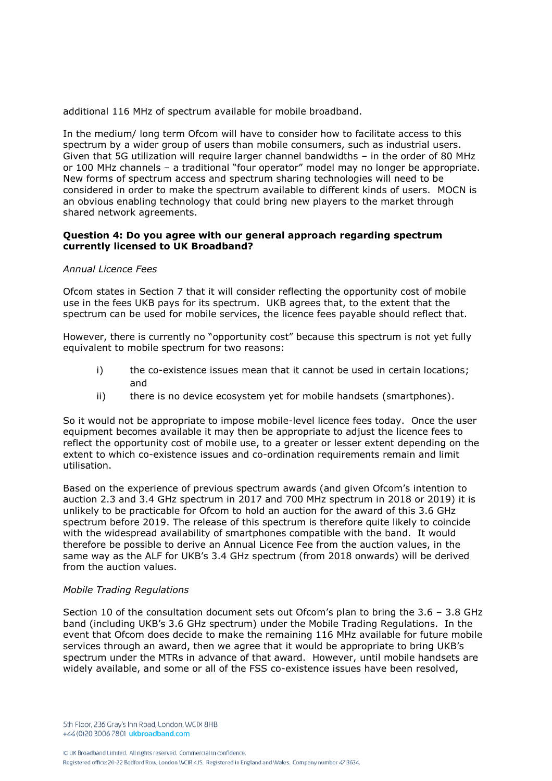additional 116 MHz of spectrum available for mobile broadband.

In the medium/ long term Ofcom will have to consider how to facilitate access to this spectrum by a wider group of users than mobile consumers, such as industrial users. Given that 5G utilization will require larger channel bandwidths – in the order of 80 MHz or 100 MHz channels – a traditional "four operator" model may no longer be appropriate. New forms of spectrum access and spectrum sharing technologies will need to be considered in order to make the spectrum available to different kinds of users. MOCN is an obvious enabling technology that could bring new players to the market through shared network agreements.

### **Question 4: Do you agree with our general approach regarding spectrum currently licensed to UK Broadband?**

#### *Annual Licence Fees*

Ofcom states in Section 7 that it will consider reflecting the opportunity cost of mobile use in the fees UKB pays for its spectrum. UKB agrees that, to the extent that the spectrum can be used for mobile services, the licence fees payable should reflect that.

However, there is currently no "opportunity cost" because this spectrum is not yet fully equivalent to mobile spectrum for two reasons:

- i) the co-existence issues mean that it cannot be used in certain locations; and
- ii) there is no device ecosystem yet for mobile handsets (smartphones).

So it would not be appropriate to impose mobile-level licence fees today. Once the user equipment becomes available it may then be appropriate to adjust the licence fees to reflect the opportunity cost of mobile use, to a greater or lesser extent depending on the extent to which co-existence issues and co-ordination requirements remain and limit utilisation.

Based on the experience of previous spectrum awards (and given Ofcom's intention to auction 2.3 and 3.4 GHz spectrum in 2017 and 700 MHz spectrum in 2018 or 2019) it is unlikely to be practicable for Ofcom to hold an auction for the award of this 3.6 GHz spectrum before 2019. The release of this spectrum is therefore quite likely to coincide with the widespread availability of smartphones compatible with the band. It would therefore be possible to derive an Annual Licence Fee from the auction values, in the same way as the ALF for UKB's 3.4 GHz spectrum (from 2018 onwards) will be derived from the auction values.

#### *Mobile Trading Regulations*

Section 10 of the consultation document sets out Ofcom's plan to bring the 3.6 – 3.8 GHz band (including UKB's 3.6 GHz spectrum) under the Mobile Trading Regulations. In the event that Ofcom does decide to make the remaining 116 MHz available for future mobile services through an award, then we agree that it would be appropriate to bring UKB's spectrum under the MTRs in advance of that award. However, until mobile handsets are widely available, and some or all of the FSS co-existence issues have been resolved,

5th Floor, 236 Gray's Inn Road, London, WCIX 8HB +44 (0)20 3006 7801 ukbroadband.com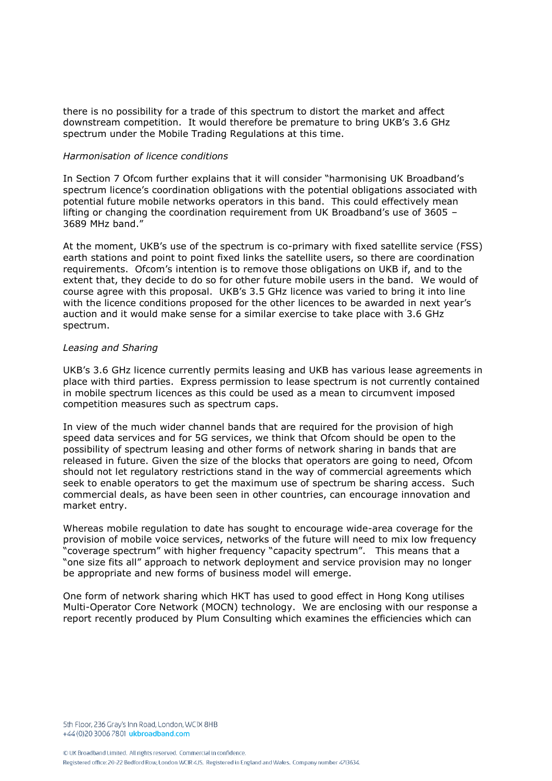there is no possibility for a trade of this spectrum to distort the market and affect downstream competition. It would therefore be premature to bring UKB's 3.6 GHz spectrum under the Mobile Trading Regulations at this time.

#### *Harmonisation of licence conditions*

In Section 7 Ofcom further explains that it will consider "harmonising UK Broadband's spectrum licence's coordination obligations with the potential obligations associated with potential future mobile networks operators in this band. This could effectively mean lifting or changing the coordination requirement from UK Broadband's use of 3605 – 3689 MHz band."

At the moment, UKB's use of the spectrum is co-primary with fixed satellite service (FSS) earth stations and point to point fixed links the satellite users, so there are coordination requirements. Ofcom's intention is to remove those obligations on UKB if, and to the extent that, they decide to do so for other future mobile users in the band. We would of course agree with this proposal. UKB's 3.5 GHz licence was varied to bring it into line with the licence conditions proposed for the other licences to be awarded in next year's auction and it would make sense for a similar exercise to take place with 3.6 GHz spectrum.

#### *Leasing and Sharing*

UKB's 3.6 GHz licence currently permits leasing and UKB has various lease agreements in place with third parties. Express permission to lease spectrum is not currently contained in mobile spectrum licences as this could be used as a mean to circumvent imposed competition measures such as spectrum caps.

In view of the much wider channel bands that are required for the provision of high speed data services and for 5G services, we think that Ofcom should be open to the possibility of spectrum leasing and other forms of network sharing in bands that are released in future. Given the size of the blocks that operators are going to need, Ofcom should not let regulatory restrictions stand in the way of commercial agreements which seek to enable operators to get the maximum use of spectrum be sharing access. Such commercial deals, as have been seen in other countries, can encourage innovation and market entry.

Whereas mobile regulation to date has sought to encourage wide-area coverage for the provision of mobile voice services, networks of the future will need to mix low frequency "coverage spectrum" with higher frequency "capacity spectrum". This means that a "one size fits all" approach to network deployment and service provision may no longer be appropriate and new forms of business model will emerge.

One form of network sharing which HKT has used to good effect in Hong Kong utilises Multi-Operator Core Network (MOCN) technology. We are enclosing with our response a report recently produced by Plum Consulting which examines the efficiencies which can

5th Floor, 236 Gray's Inn Road, London, WCIX 8HB +44 (0)20 3006 7801 ukbroadband.com